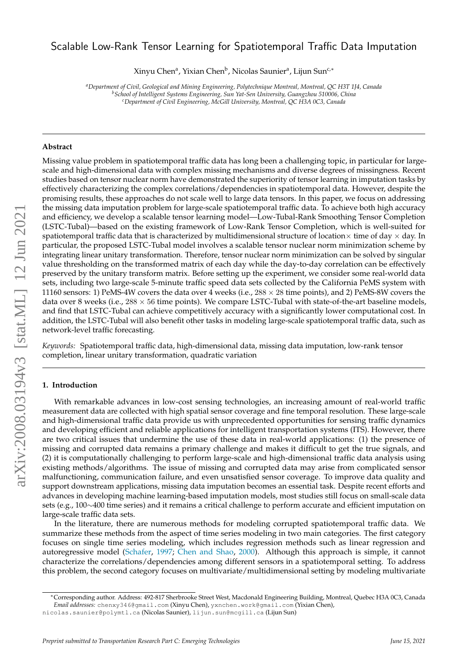# arXiv:2008.03194v3 [stat.ML] 12 Jun 2021 arXiv:2008.03194v3 [stat.ML] 12 Jun 2021

# Scalable Low-Rank Tensor Learning for Spatiotemporal Traffic Data Imputation

Xinyu Chenª, Yixian Chen<sup>b</sup>, Nicolas Saunierª, Lijun Sun<sup>c,∗</sup>

*<sup>a</sup>Department of Civil, Geological and Mining Engineering, Polytechnique Montreal, Montreal, QC H3T 1J4, Canada <sup>b</sup>School of Intelligent Systems Engineering, Sun Yat-Sen University, Guangzhou 510006, China <sup>c</sup>Department of Civil Engineering, McGill University, Montreal, QC H3A 0C3, Canada*

#### **Abstract**

Missing value problem in spatiotemporal traffic data has long been a challenging topic, in particular for largescale and high-dimensional data with complex missing mechanisms and diverse degrees of missingness. Recent studies based on tensor nuclear norm have demonstrated the superiority of tensor learning in imputation tasks by effectively characterizing the complex correlations/dependencies in spatiotemporal data. However, despite the promising results, these approaches do not scale well to large data tensors. In this paper, we focus on addressing the missing data imputation problem for large-scale spatiotemporal traffic data. To achieve both high accuracy and efficiency, we develop a scalable tensor learning model—Low-Tubal-Rank Smoothing Tensor Completion (LSTC-Tubal)—based on the existing framework of Low-Rank Tensor Completion, which is well-suited for spatiotemporal traffic data that is characterized by multidimensional structure of location $\times$  time of day  $\times$  day. In particular, the proposed LSTC-Tubal model involves a scalable tensor nuclear norm minimization scheme by integrating linear unitary transformation. Therefore, tensor nuclear norm minimization can be solved by singular value thresholding on the transformed matrix of each day while the day-to-day correlation can be effectively preserved by the unitary transform matrix. Before setting up the experiment, we consider some real-world data sets, including two large-scale 5-minute traffic speed data sets collected by the California PeMS system with 11160 sensors: 1) PeMS-4W covers the data over 4 weeks (i.e.,  $288 \times 28$  time points), and 2) PeMS-8W covers the data over 8 weeks (i.e.,  $288 \times 56$  time points). We compare LSTC-Tubal with state-of-the-art baseline models, and find that LSTC-Tubal can achieve competitively accuracy with a significantly lower computational cost. In addition, the LSTC-Tubal will also benefit other tasks in modeling large-scale spatiotemporal traffic data, such as network-level traffic forecasting.

*Keywords:* Spatiotemporal traffic data, high-dimensional data, missing data imputation, low-rank tensor completion, linear unitary transformation, quadratic variation

#### **1. Introduction**

With remarkable advances in low-cost sensing technologies, an increasing amount of real-world traffic measurement data are collected with high spatial sensor coverage and fine temporal resolution. These large-scale and high-dimensional traffic data provide us with unprecedented opportunities for sensing traffic dynamics and developing efficient and reliable applications for intelligent transportation systems (ITS). However, there are two critical issues that undermine the use of these data in real-world applications: (1) the presence of missing and corrupted data remains a primary challenge and makes it difficult to get the true signals, and (2) it is computationally challenging to perform large-scale and high-dimensional traffic data analysis using existing methods/algorithms. The issue of missing and corrupted data may arise from complicated sensor malfunctioning, communication failure, and even unsatisfied sensor coverage. To improve data quality and support downstream applications, missing data imputation becomes an essential task. Despite recent efforts and advances in developing machine learning-based imputation models, most studies still focus on small-scale data sets (e.g., 100∼400 time series) and it remains a critical challenge to perform accurate and efficient imputation on large-scale traffic data sets.

In the literature, there are numerous methods for modeling corrupted spatiotemporal traffic data. We summarize these methods from the aspect of time series modeling in two main categories. The first category focuses on single time series modeling, which includes regression methods such as linear regression and autoregressive model [\(Schafer,](#page-13-0) [1997;](#page-13-0) [Chen and Shao,](#page-12-0) [2000\)](#page-12-0). Although this approach is simple, it cannot characterize the correlations/dependencies among different sensors in a spatiotemporal setting. To address this problem, the second category focuses on multivariate/multidimensional setting by modeling multivariate

<sup>∗</sup>Corresponding author. Address: 492-817 Sherbrooke Street West, Macdonald Engineering Building, Montreal, Quebec H3A 0C3, Canada

*Email addresses:* chenxy346@gmail.com (Xinyu Chen), yxnchen.work@gmail.com (Yixian Chen),

nicolas.saunier@polymtl.ca (Nicolas Saunier), lijun.sun@mcgill.ca (Lijun Sun)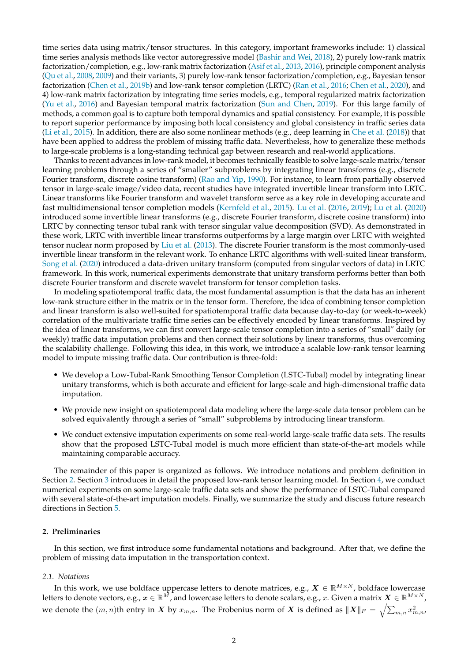time series data using matrix/tensor structures. In this category, important frameworks include: 1) classical time series analysis methods like vector autoregressive model [\(Bashir and Wei,](#page-12-1) [2018\)](#page-12-1), 2) purely low-rank matrix factorization/completion, e.g., low-rank matrix factorization [\(Asif et al.,](#page-12-2) [2013,](#page-12-2) [2016\)](#page-12-3), principle component analysis [\(Qu et al.,](#page-12-4) [2008,](#page-12-4) [2009\)](#page-12-5) and their variants, 3) purely low-rank tensor factorization/completion, e.g., Bayesian tensor factorization [\(Chen et al.,](#page-12-6) [2019b\)](#page-12-6) and low-rank tensor completion (LRTC) [\(Ran et al.,](#page-12-7) [2016;](#page-12-7) [Chen et al.,](#page-12-8) [2020\)](#page-12-8), and 4) low-rank matrix factorization by integrating time series models, e.g., temporal regularized matrix factorization [\(Yu et al.,](#page-13-1) [2016\)](#page-13-1) and Bayesian temporal matrix factorization [\(Sun and Chen,](#page-13-2) [2019\)](#page-13-2). For this large family of methods, a common goal is to capture both temporal dynamics and spatial consistency. For example, it is possible to report superior performance by imposing both local consistency and global consistency in traffic series data [\(Li et al.,](#page-12-9) [2015\)](#page-12-9). In addition, there are also some nonlinear methods (e.g., deep learning in [Che et al.](#page-12-10) [\(2018\)](#page-12-10)) that have been applied to address the problem of missing traffic data. Nevertheless, how to generalize these methods to large-scale problems is a long-standing technical gap between research and real-world applications.

Thanks to recent advances in low-rank model, it becomes technically feasible to solve large-scale matrix/tensor learning problems through a series of "smaller" subproblems by integrating linear transforms (e.g., discrete Fourier transform, discrete cosine transform) [\(Rao and Yip,](#page-13-3) [1990\)](#page-13-3). For instance, to learn from partially observed tensor in large-scale image/video data, recent studies have integrated invertible linear transform into LRTC. Linear transforms like Fourier transform and wavelet transform serve as a key role in developing accurate and fast multidimensional tensor completion models [\(Kernfeld et al.,](#page-12-11) [2015\)](#page-12-11). [Lu et al.](#page-12-12) [\(2016,](#page-12-12) [2019\)](#page-12-13); [Lu et al.](#page-12-14) [\(2020\)](#page-12-14) introduced some invertible linear transforms (e.g., discrete Fourier transform, discrete cosine transform) into LRTC by connecting tensor tubal rank with tensor singular value decomposition (SVD). As demonstrated in these work, LRTC with invertible linear transforms outperforms by a large margin over LRTC with weighted tensor nuclear norm proposed by [Liu et al.](#page-12-15) [\(2013\)](#page-12-15). The discrete Fourier transform is the most commonly-used invertible linear transform in the relevant work. To enhance LRTC algorithms with well-suited linear transform, [Song et al.](#page-13-4) [\(2020\)](#page-13-4) introduced a data-driven unitary transform (computed from singular vectors of data) in LRTC framework. In this work, numerical experiments demonstrate that unitary transform performs better than both discrete Fourier transform and discrete wavelet transform for tensor completion tasks.

In modeling spatiotemporal traffic data, the most fundamental assumption is that the data has an inherent low-rank structure either in the matrix or in the tensor form. Therefore, the idea of combining tensor completion and linear transform is also well-suited for spatiotemporal traffic data because day-to-day (or week-to-week) correlation of the multivariate traffic time series can be effectively encoded by linear transforms. Inspired by the idea of linear transforms, we can first convert large-scale tensor completion into a series of "small" daily (or weekly) traffic data imputation problems and then connect their solutions by linear transforms, thus overcoming the scalability challenge. Following this idea, in this work, we introduce a scalable low-rank tensor learning model to impute missing traffic data. Our contribution is three-fold:

- We develop a Low-Tubal-Rank Smoothing Tensor Completion (LSTC-Tubal) model by integrating linear unitary transforms, which is both accurate and efficient for large-scale and high-dimensional traffic data imputation.
- We provide new insight on spatiotemporal data modeling where the large-scale data tensor problem can be solved equivalently through a series of "small" subproblems by introducing linear transform.
- We conduct extensive imputation experiments on some real-world large-scale traffic data sets. The results show that the proposed LSTC-Tubal model is much more efficient than state-of-the-art models while maintaining comparable accuracy.

The remainder of this paper is organized as follows. We introduce notations and problem definition in Section [2.](#page-1-0) Section [3](#page-3-0) introduces in detail the proposed low-rank tensor learning model. In Section [4,](#page-6-0) we conduct numerical experiments on some large-scale traffic data sets and show the performance of LSTC-Tubal compared with several state-of-the-art imputation models. Finally, we summarize the study and discuss future research directions in Section [5.](#page-10-0)

# <span id="page-1-0"></span>**2. Preliminaries**

In this section, we first introduce some fundamental notations and background. After that, we define the problem of missing data imputation in the transportation context.

#### *2.1. Notations*

In this work, we use boldface uppercase letters to denote matrices, e.g.,  $X \in \mathbb{R}^{M \times N}$ , boldface lowercase letters to denote vectors, e.g.,  $x\in\mathbb{R}^{\bar{M}}$ , and lowercase letters to denote scalars, e.g.,  $x$ . Given a matrix  $X\in\mathbb{R}^{M\times N}$ , we denote the  $(m,n)$ th entry in  $\boldsymbol{X}$  by  $x_{m,n}.$  The Frobenius norm of  $\boldsymbol{X}$  is defined as  $\|\boldsymbol{X}\|_F = \sqrt{\sum_{m,n} x_{m,n}^2}$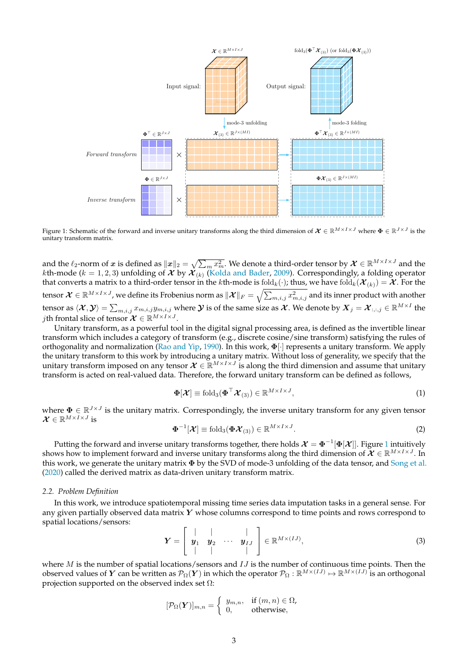<span id="page-2-0"></span>

Figure 1: Schematic of the forward and inverse unitary transforms along the third dimension of  $\mathcal{X} \in \mathbb{R}^{M \times I \times J}$  where  $\Phi \in \mathbb{R}^{J \times J}$  is the unitary transform matrix.

and the  $\ell_2$ -norm of x is defined as  $||x||_2 = \sqrt{\sum_m x_m^2}$ . We denote a third-order tensor by  $\mathcal{X} \in \mathbb{R}^{M \times I \times J}$  and the *k*th-mode ( $k = 1, 2, 3$ ) unfolding of  $\mathcal X$  by  $\mathcal X_{(k)}$  [\(Kolda and Bader,](#page-12-16) [2009\)](#page-12-16). Correspondingly, a folding operator that converts a matrix to a third-order tensor in the kth-mode is  $fold_k(\cdot)$ ; thus, we have  $fold_k(\mathcal{X}_{(k)}) = \mathcal{X}$ . For the tensor  $\bm{\mathcal{X}}\in\mathbb{R}^{M\times I\times J}$ , we define its Frobenius norm as  $\|\bm{\mathcal{X}}\|_F=\sqrt{\sum_{m,i,j}x_{m,i,j}^2}$  and its inner product with another tensor as  $\langle \mathcal{X},\mathcal{Y}\rangle=\sum_{m,i,j}x_{m,i,j}y_{m,i,j}$  where  $\mathcal Y$  is of the same size as  $\mathcal{X}.$  We denote by  $\bm{X}_j=\bm{\mathcal{X}}_{:,:,j}\in\mathbb{R}^{M\times I}$  the *j*th frontal slice of tensor  $\mathcal{X} \in \mathbb{R}^{M \times I \times J}$ .

Unitary transform, as a powerful tool in the digital signal processing area, is defined as the invertible linear transform which includes a category of transform (e.g., discrete cosine/sine transform) satisfying the rules of orthogonality and normalization [\(Rao and Yip,](#page-13-3) [1990\)](#page-13-3). In this work,  $\Phi[\cdot]$  represents a unitary transform. We apply the unitary transform to this work by introducing a unitary matrix. Without loss of generality, we specify that the unitary transform imposed on any tensor  $\mathcal{X} \in \mathbb{R}^{M \times I \times J}$  is along the third dimension and assume that unitary transform is acted on real-valued data. Therefore, the forward unitary transform can be defined as follows,

$$
\mathbf{\Phi}[\boldsymbol{\mathcal{X}}] \equiv \text{fold}_3(\mathbf{\Phi}^\top \boldsymbol{\mathcal{X}}_{(3)}) \in \mathbb{R}^{M \times I \times J},\tag{1}
$$

where  $\Phi \in \mathbb{R}^{J \times J}$  is the unitary matrix. Correspondingly, the inverse unitary transform for any given tensor  $\mathcal{X} \in \mathbb{R}^{M \times I \times J}$  is

$$
\mathbf{\Phi}^{-1}[\boldsymbol{\mathcal{X}}] \equiv \text{fold}_3(\boldsymbol{\Phi} \boldsymbol{\mathcal{X}}_{(3)}) \in \mathbb{R}^{M \times I \times J}.
$$
\n(2)

Putting the forward and inverse unitary transforms together, there holds  $\mathcal{X} = \Phi^{-1}[\Phi[\mathcal{X}]]$  $\mathcal{X} = \Phi^{-1}[\Phi[\mathcal{X}]]$  $\mathcal{X} = \Phi^{-1}[\Phi[\mathcal{X}]]$ . Figure 1 intuitively shows how to implement forward and inverse unitary transforms along the third dimension of  $\mathcal{X} \in \mathbb{R}^{M \times I \times J}$ . In this work, we generate the unitary matrix  $\Phi$  by the SVD of mode-3 unfolding of the data tensor, and [Song et al.](#page-13-4) [\(2020\)](#page-13-4) called the derived matrix as data-driven unitary transform matrix.

#### *2.2. Problem Definition*

In this work, we introduce spatiotemporal missing time series data imputation tasks in a general sense. For any given partially observed data matrix  $Y$  whose columns correspond to time points and rows correspond to spatial locations/sensors:

$$
\boldsymbol{Y} = \left[ \begin{array}{cccc} | & | & | \\ \boldsymbol{y}_1 & \boldsymbol{y}_2 & \cdots & \boldsymbol{y}_{IJ} \\ | & | & | & | \end{array} \right] \in \mathbb{R}^{M \times (IJ)}, \tag{3}
$$

where  $M$  is the number of spatial locations/sensors and  $IJ$  is the number of continuous time points. Then the observed values of  $Y$  can be written as  $\mathcal{P}_{\Omega}(Y)$  in which the operator  $\mathcal{P}_{\Omega}:\mathbb{R}^{M\times (IJ)}\mapsto\mathbb{R}^{M\times (IJ)}$  is an orthogonal projection supported on the observed index set  $\Omega$ :

$$
[\mathcal{P}_{\Omega}(\boldsymbol{Y})]_{m,n} = \begin{cases} y_{m,n}, & \text{if } (m,n) \in \Omega, \\ 0, & \text{otherwise,} \end{cases}
$$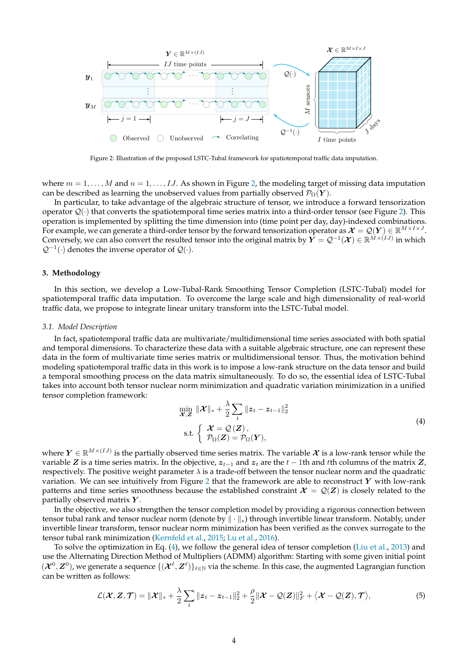<span id="page-3-1"></span>

Figure 2: Illustration of the proposed LSTC-Tubal framework for spatiotemporal traffic data imputation.

where  $m = 1, \ldots, M$  and  $n = 1, \ldots, IJ$ . As shown in Figure [2,](#page-3-1) the modeling target of missing data imputation can be described as learning the unobserved values from partially observed  $\mathcal{P}_{\Omega}(\boldsymbol{Y})$ .

In particular, to take advantage of the algebraic structure of tensor, we introduce a forward tensorization operator  $Q(\cdot)$  that converts the spatiotemporal time series matrix into a third-order tensor (see Figure [2\)](#page-3-1). This operation is implemented by splitting the time dimension into (time point per day, day)-indexed combinations. For example, we can generate a third-order tensor by the forward tensorization operator as  $\mathcal{X} = \mathcal{Q}(Y) \in \mathbb{R}^{M \times I \times J}$ . Conversely, we can also convert the resulted tensor into the original matrix by  $Y = Q^{-1}(\mathcal{X}) \in \mathbb{R}^{M \times (IJ)}$  in which  $Q^{-1}(\cdot)$  denotes the inverse operator of  $Q(\cdot)$ .

#### <span id="page-3-0"></span>**3. Methodology**

In this section, we develop a Low-Tubal-Rank Smoothing Tensor Completion (LSTC-Tubal) model for spatiotemporal traffic data imputation. To overcome the large scale and high dimensionality of real-world traffic data, we propose to integrate linear unitary transform into the LSTC-Tubal model.

#### *3.1. Model Description*

In fact, spatiotemporal traffic data are multivariate/multidimensional time series associated with both spatial and temporal dimensions. To characterize these data with a suitable algebraic structure, one can represent these data in the form of multivariate time series matrix or multidimensional tensor. Thus, the motivation behind modeling spatiotemporal traffic data in this work is to impose a low-rank structure on the data tensor and build a temporal smoothing process on the data matrix simultaneously. To do so, the essential idea of LSTC-Tubal takes into account both tensor nuclear norm minimization and quadratic variation minimization in a unified tensor completion framework:

<span id="page-3-2"></span>
$$
\min_{\mathbf{X}, \mathbf{Z}} \|\mathbf{X}\|_{*} + \frac{\lambda}{2} \sum_{t} \|z_{t} - z_{t-1}\|_{2}^{2}
$$
\n
$$
\text{s.t.} \left\{\n\begin{array}{l}\n\mathbf{X} = \mathcal{Q}(\mathbf{Z}), \\
\mathcal{P}_{\Omega}(\mathbf{Z}) = \mathcal{P}_{\Omega}(\mathbf{Y}),\n\end{array}\n\right.
$$
\n(4)

where  $Y \in \mathbb{R}^{M \times (IJ)}$  is the partially observed time series matrix. The variable  $\mathcal X$  is a low-rank tensor while the variable Z is a time series matrix. In the objective,  $z_{t-1}$  and  $z_t$  are the  $t-1$ th and tth columns of the matrix Z, respectively. The positive weight parameter  $\lambda$  is a trade-off between the tensor nuclear norm and the quadratic variation. We can see intuitively from Figure [2](#page-3-1) that the framework are able to reconstruct  $Y$  with low-rank patterns and time series smoothness because the established constraint  $\mathcal{X} = \mathcal{Q}(Z)$  is closely related to the partially observed matrix  $Y$ .

In the objective, we also strengthen the tensor completion model by providing a rigorous connection between tensor tubal rank and tensor nuclear norm (denote by  $\|\cdot\|_*$ ) through invertible linear transform. Notably, under invertible linear transform, tensor nuclear norm minimization has been verified as the convex surrogate to the tensor tubal rank minimization [\(Kernfeld et al.,](#page-12-11) [2015;](#page-12-11) [Lu et al.,](#page-12-12) [2016\)](#page-12-12).

To solve the optimization in Eq. [\(4\)](#page-3-2), we follow the general idea of tensor completion [\(Liu et al.,](#page-12-15) [2013\)](#page-12-15) and use the Alternating Direction Method of Multipliers (ADMM) algorithm: Starting with some given initial point  $(X^0, Z^0)$ , we generate a sequence  $\{(\mathcal{X}^{\ell}, Z^{\ell})\}_{\ell \in \mathbb{N}}$  via the scheme. In this case, the augmented Lagrangian function can be written as follows:

<span id="page-3-3"></span>
$$
\mathcal{L}(\boldsymbol{\mathcal{X}},\boldsymbol{Z},\boldsymbol{\mathcal{T}})=\|\boldsymbol{\mathcal{X}}\|_{*}+\frac{\lambda}{2}\sum_{t}\|z_{t}-z_{t-1}\|_{2}^{2}+\frac{\rho}{2}\|\boldsymbol{\mathcal{X}}-\mathcal{Q}(\boldsymbol{Z})\|_{F}^{2}+\langle\boldsymbol{\mathcal{X}}-\mathcal{Q}(\boldsymbol{Z}),\boldsymbol{\mathcal{T}}\rangle,
$$
\n(5)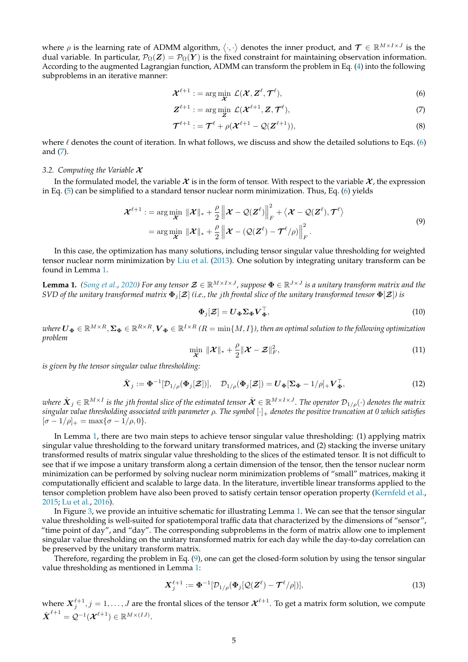where  $\rho$  is the learning rate of ADMM algorithm,  $\langle \cdot, \cdot \rangle$  denotes the inner product, and  $\mathcal{T} \in \mathbb{R}^{M \times I \times J}$  is the dual variable. In particular,  $\mathcal{P}_{\Omega}(Z) = \mathcal{P}_{\Omega}(Y)$  is the fixed constraint for maintaining observation information. According to the augmented Lagrangian function, ADMM can transform the problem in Eq. [\(4\)](#page-3-2) into the following subproblems in an iterative manner:

<span id="page-4-1"></span><span id="page-4-0"></span>
$$
\mathcal{X}^{\ell+1} := \arg\min_{\mathcal{X}} \ \mathcal{L}(\mathcal{X}, \mathbf{Z}^{\ell}, \mathcal{T}^{\ell}), \tag{6}
$$

$$
\mathbf{Z}^{\ell+1} := \arg\min_{\mathbf{Z}} \mathcal{L}(\mathbf{\mathcal{X}}^{\ell+1}, \mathbf{Z}, \mathbf{\mathcal{T}}^{\ell}),
$$
\n(7)

<span id="page-4-5"></span>
$$
\mathcal{T}^{\ell+1} := \mathcal{T}^{\ell} + \rho(\mathcal{X}^{\ell+1} - \mathcal{Q}(\mathcal{Z}^{\ell+1})),
$$
\n(8)

where  $\ell$  denotes the count of iteration. In what follows, we discuss and show the detailed solutions to Eqs. [\(6\)](#page-4-0) and [\(7\)](#page-4-1).

#### *3.2. Computing the Variable* X

In the formulated model, the variable  $\mathcal X$  is in the form of tensor. With respect to the variable  $\mathcal X$ , the expression in Eq. [\(5\)](#page-3-3) can be simplified to a standard tensor nuclear norm minimization. Thus, Eq. [\(6\)](#page-4-0) yields

<span id="page-4-3"></span>
$$
\mathcal{X}^{\ell+1} := \arg\min_{\mathcal{X}} \|\mathcal{X}\|_{*} + \frac{\rho}{2} \left\| \mathcal{X} - \mathcal{Q}(\mathcal{Z}^{\ell}) \right\|_{F}^{2} + \langle \mathcal{X} - \mathcal{Q}(\mathcal{Z}^{\ell}), \mathcal{T}^{\ell} \rangle
$$
  
= 
$$
\arg\min_{\mathcal{X}} \|\mathcal{X}\|_{*} + \frac{\rho}{2} \left\| \mathcal{X} - \mathcal{Q}(\mathcal{Z}^{\ell}) - \mathcal{T}^{\ell}/\rho \right\|_{F}^{2}.
$$
 (9)

In this case, the optimization has many solutions, including tensor singular value thresholding for weighted tensor nuclear norm minimization by [Liu et al.](#page-12-15) [\(2013\)](#page-12-15). One solution by integrating unitary transform can be found in Lemma [1.](#page-4-2)

<span id="page-4-2"></span>**Lemma 1.** *[\(Song et al.,](#page-13-4) [2020\)](#page-13-4)* For any tensor  $\mathcal{Z} \in \mathbb{R}^{M \times I \times J}$ , suppose  $\Phi \in \mathbb{R}^{J \times J}$  is a unitary transform matrix and the *SVD of the unitary transformed matrix*  $\Phi_i[\mathcal{Z}]$  *(i.e., the jth frontal slice of the unitary transformed tensor*  $\Phi[\mathcal{Z}]$ *) is* 

$$
\Phi_j[\mathcal{Z}] = U_{\Phi} \Sigma_{\Phi} V_{\Phi}^{\top},\tag{10}
$$

 $\wedge$  where  $\bm{U_{\Phi}}\in\mathbb{R}^{M\times R},\bm{\Sigma_{\Phi}}\in\mathbb{R}^{R\times R},\bm{V_{\Phi}}\in\mathbb{R}^{I\times R}$  (R  $=$   $\min\{M,I\}$ ), then an optimal solution to the following optimization *problem*

$$
\min_{\mathcal{X}} \|\mathcal{X}\|_{*} + \frac{\rho}{2}\|\mathcal{X} - \mathcal{Z}\|_{F}^{2},
$$
\n(11)

*is given by the tensor singular value thresholding:*

$$
\hat{\boldsymbol{X}}_j := \boldsymbol{\Phi}^{-1}[\mathcal{D}_{1/\rho}(\boldsymbol{\Phi}_j[\boldsymbol{\mathcal{Z}}])], \quad \mathcal{D}_{1/\rho}(\boldsymbol{\Phi}_j[\boldsymbol{\mathcal{Z}}]) = \boldsymbol{U}_{\boldsymbol{\Phi}}[\boldsymbol{\Sigma}_{\boldsymbol{\Phi}} - 1/\rho]_+ \boldsymbol{V}_{\boldsymbol{\Phi}}^\top,\tag{12}
$$

where  $\hat{\bm{X}}_j \in \mathbb{R}^{M \times I}$  is the jth frontal slice of the estimated tensor  $\hat{\bm{\mathcal{X}}} \in \mathbb{R}^{M \times I \times J}$ . The operator  $\mathcal{D}_{1/\rho}(\cdot)$  denotes the matrix *singular value thresholding associated with parameter* ρ*. The symbol* [·]<sup>+</sup> *denotes the positive truncation at 0 which satisfies*  $[\sigma - 1/\rho]_+ = \max{\lbrace \sigma - 1/\rho, 0 \rbrace}.$ 

In Lemma [1,](#page-4-2) there are two main steps to achieve tensor singular value thresholding: (1) applying matrix singular value thresholding to the forward unitary transformed matrices, and (2) stacking the inverse unitary transformed results of matrix singular value thresholding to the slices of the estimated tensor. It is not difficult to see that if we impose a unitary transform along a certain dimension of the tensor, then the tensor nuclear norm minimization can be performed by solving nuclear norm minimization problems of "small" matrices, making it computationally efficient and scalable to large data. In the literature, invertible linear transforms applied to the tensor completion problem have also been proved to satisfy certain tensor operation property [\(Kernfeld et al.,](#page-12-11) [2015;](#page-12-11) [Lu et al.,](#page-12-12) [2016\)](#page-12-12).

In Figure [3,](#page-5-0) we provide an intuitive schematic for illustrating Lemma [1.](#page-4-2) We can see that the tensor singular value thresholding is well-suited for spatiotemporal traffic data that characterized by the dimensions of "sensor", "time point of day", and "day". The corresponding subproblems in the form of matrix allow one to implement singular value thresholding on the unitary transformed matrix for each day while the day-to-day correlation can be preserved by the unitary transform matrix.

Therefore, regarding the problem in Eq. [\(9\)](#page-4-3), one can get the closed-form solution by using the tensor singular value thresholding as mentioned in Lemma [1:](#page-4-2)

<span id="page-4-4"></span>
$$
\mathbf{X}_{j}^{\ell+1} := \mathbf{\Phi}^{-1}[\mathcal{D}_{1/\rho}(\mathbf{\Phi}_{j}[\mathcal{Q}(\mathbf{Z}^{\ell}) - \mathcal{T}^{\ell}/\rho])],\tag{13}
$$

where  $X_j^{\ell+1}, j=1,\ldots,J$  are the frontal slices of the tensor  $\mathcal{X}^{\ell+1}$ . To get a matrix form solution, we compute  $\hat{\boldsymbol{X}}^{\ell+1} = \mathcal{Q}^{-1}(\boldsymbol{\mathcal{X}}^{\ell+1}) \in \mathbb{R}^{M \times (IJ)}.$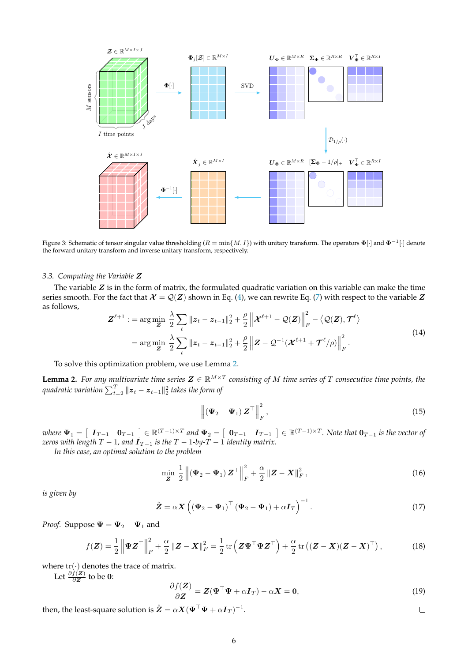<span id="page-5-0"></span>

Figure 3: Schematic of tensor singular value thresholding ( $R=\min\{M,I\}$ ) with unitary transform. The operators  $\mathbf{\Phi}[\cdot]$  and  $\mathbf{\Phi}^{-1}[\cdot]$  denote the forward unitary transform and inverse unitary transform, respectively.

#### *3.3. Computing the Variable* Z

The variable  $Z$  is in the form of matrix, the formulated quadratic variation on this variable can make the time series smooth. For the fact that  $\mathcal{X} = \mathcal{Q}(Z)$  shown in Eq. [\(4\)](#page-3-2), we can rewrite Eq. [\(7\)](#page-4-1) with respect to the variable Z as follows,

<span id="page-5-3"></span>
$$
Z^{\ell+1} := \arg \min_{\mathbf{Z}} \frac{\lambda}{2} \sum_{t} ||z_t - z_{t-1}||_2^2 + \frac{\rho}{2} ||\mathbf{x}^{\ell+1} - \mathcal{Q}(\mathbf{Z})||_F^2 - \langle \mathcal{Q}(\mathbf{Z}), \mathcal{T}^{\ell} \rangle
$$
  
= 
$$
\arg \min_{\mathbf{Z}} \frac{\lambda}{2} \sum_{t} ||z_t - z_{t-1}||_2^2 + \frac{\rho}{2} ||\mathbf{Z} - \mathcal{Q}^{-1}(\mathbf{x}^{\ell+1} + \mathcal{T}^{\ell}/\rho) ||_F^2.
$$
 (14)

To solve this optimization problem, we use Lemma [2.](#page-5-1)

<span id="page-5-1"></span>**Lemma 2.** For any multivariate time series  $\mathbf{Z} \in \mathbb{R}^{M \times T}$  consisting of M time series of T consecutive time points, the quadratic variation  $\sum_{t=2}^T \| \boldsymbol{z}_t - \boldsymbol{z}_{t-1} \|_2^2$  takes the form of

<span id="page-5-4"></span>
$$
\left\| \left( \mathbf{\Psi}_2 - \mathbf{\Psi}_1 \right) \mathbf{Z}^\top \right\|_F^2, \tag{15}
$$

 $\mathbf{w}$   $\mathbf{w}_1 = \begin{bmatrix} \mathbf{I}_{T-1} & \mathbf{0}_{T-1} \end{bmatrix} \in \mathbb{R}^{(T-1)\times T}$  and  $\Psi_2 = \begin{bmatrix} \mathbf{0}_{T-1} & \mathbf{I}_{T-1} \end{bmatrix} \in \mathbb{R}^{(T-1)\times T}$ . Note that  $\mathbf{0}_{T-1}$  is the vector of *zeros with length*  $T - 1$ *, and*  $\mathbf{I}_{T-1}$  *is the*  $T - 1$ *-by-* $T - 1$  *identity matrix.* 

*In this case, an optimal solution to the problem*

$$
\min_{\mathbf{Z}} \frac{1}{2} \left\| \left( \mathbf{\Psi}_2 - \mathbf{\Psi}_1 \right) \mathbf{Z}^\top \right\|_F^2 + \frac{\alpha}{2} \left\| \mathbf{Z} - \mathbf{X} \right\|_F^2, \tag{16}
$$

*is given by*

<span id="page-5-2"></span>
$$
\hat{\mathbf{Z}} = \alpha \mathbf{X} \left( \left( \mathbf{\Psi}_2 - \mathbf{\Psi}_1 \right)^{\top} \left( \mathbf{\Psi}_2 - \mathbf{\Psi}_1 \right) + \alpha \mathbf{I}_T \right)^{-1} . \tag{17}
$$

*Proof.* Suppose  $\Psi = \Psi_2 - \Psi_1$  and

$$
f(\boldsymbol{Z}) = \frac{1}{2} \left\| \boldsymbol{\Psi} \boldsymbol{Z}^{\top} \right\|_{F}^{2} + \frac{\alpha}{2} \left\| \boldsymbol{Z} - \boldsymbol{X} \right\|_{F}^{2} = \frac{1}{2} \operatorname{tr} \left( \boldsymbol{Z} \boldsymbol{\Psi}^{\top} \boldsymbol{\Psi} \boldsymbol{Z}^{\top} \right) + \frac{\alpha}{2} \operatorname{tr} \left( (\boldsymbol{Z} - \boldsymbol{X})(\boldsymbol{Z} - \boldsymbol{X})^{\top} \right), \tag{18}
$$

where  $tr(\cdot)$  denotes the trace of matrix.

Let  $\frac{\partial f(\mathbf{Z})}{\partial \mathbf{Z}}$  to be 0:

$$
\frac{\partial f(\mathbf{Z})}{\partial \mathbf{Z}} = \mathbf{Z}(\mathbf{\Psi}^\top \mathbf{\Psi} + \alpha \mathbf{I}_T) - \alpha \mathbf{X} = \mathbf{0},\tag{19}
$$

then, the least-square solution is  $\hat{\pmb{Z}} = \alpha \pmb{X} (\pmb{\Psi}^\top \pmb{\Psi} + \alpha \pmb{I}_T)^{-1}.$  $\Box$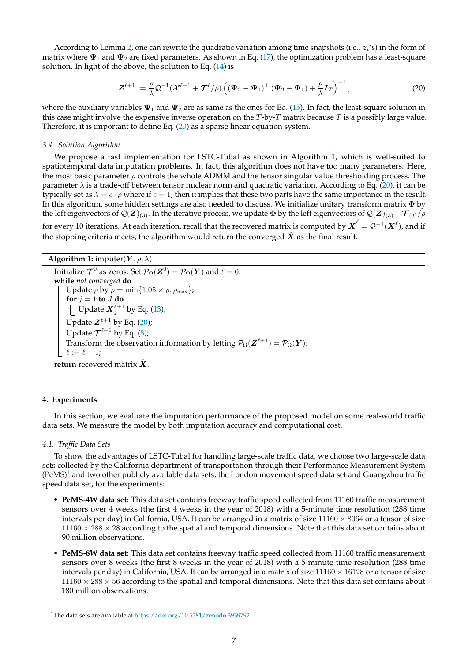According to Lemma [2,](#page-5-1) one can rewrite the quadratic variation among time snapshots (i.e.,  $z_t$ 's) in the form of matrix where  $\Psi_1$  and  $\Psi_2$  are fixed parameters. As shown in Eq. [\(17\)](#page-5-2), the optimization problem has a least-square solution. In light of the above, the solution to Eq. [\(14\)](#page-5-3) is

<span id="page-6-1"></span>
$$
\mathbf{Z}^{\ell+1} := \frac{\rho}{\lambda} \mathcal{Q}^{-1} (\mathbf{X}^{\ell+1} + \mathcal{T}^{\ell}/\rho) \left( (\mathbf{\Psi}_2 - \mathbf{\Psi}_1)^{\top} (\mathbf{\Psi}_2 - \mathbf{\Psi}_1) + \frac{\rho}{\lambda} \mathbf{I}_T \right)^{-1}, \tag{20}
$$

where the auxiliary variables  $\Psi_1$  and  $\Psi_2$  are as same as the ones for Eq. [\(15\)](#page-5-4). In fact, the least-square solution in this case might involve the expensive inverse operation on the  $T$ -by- $T$  matrix because  $T$  is a possibly large value. Therefore, it is important to define Eq. [\(20\)](#page-6-1) as a sparse linear equation system.

#### *3.4. Solution Algorithm*

We propose a fast implementation for LSTC-Tubal as shown in Algorithm [1,](#page-6-2) which is well-suited to spatiotemporal data imputation problems. In fact, this algorithm does not have too many parameters. Here, the most basic parameter  $\rho$  controls the whole ADMM and the tensor singular value thresholding process. The parameter  $\lambda$  is a trade-off between tensor nuclear norm and quadratic variation. According to Eq. [\(20\)](#page-6-1), it can be typically set as  $\lambda = c \cdot \rho$  where if  $c = 1$ , then it implies that these two parts have the same importance in the result. In this algorithm, some hidden settings are also needed to discuss. We initialize unitary transform matrix Φ by the left eigenvectors of  $\mathcal{Q}(Z)_{(3)}$ . In the iterative process, we update  $\Phi$  by the left eigenvectors of  $\mathcal{Q}(Z)_{(3)} - \mathcal{T}_{(3)}/\rho$ for every 10 iterations. At each iteration, recall that the recovered matrix is computed by  $\hat{\bm{X}}^\ell=\mathcal{Q}^{-1}(\bm{X}^\ell)$ , and if the stopping criteria meets, the algorithm would return the converged  $\hat{X}$  as the final result.

# **Algorithm 1:** imputer $(Y, \rho, \lambda)$

<span id="page-6-2"></span>Initialize  $\mathcal{T}^0$  as zeros. Set  $\mathcal{P}_{\Omega}(\mathbf{Z}^0) = \mathcal{P}_{\Omega}(\mathbf{Y})$  and  $\ell = 0$ . **while** *not converged* **do** Update  $\rho$  by  $\rho = \min\{1.05 \times \rho, \rho_{\max}\}\;$ **for**  $j = 1$  **to**  $J$  **do** Update  $X_j^{\ell+1}$  by Eq. [\(13\)](#page-4-4); Update  $Z^{\ell+1}$  by Eq. [\(20\)](#page-6-1); Update  $\mathcal{T}^{\ell+1}$  by Eq. [\(8\)](#page-4-5); Transform the observation information by letting  $\mathcal{P}_{\Omega}(\mathbf{Z}^{\ell+1}) = \mathcal{P}_{\Omega}(\mathbf{Y});$  $\ell := \ell + 1;$ **return** recovered matrix  $\hat{X}$ .

#### <span id="page-6-0"></span>**4. Experiments**

In this section, we evaluate the imputation performance of the proposed model on some real-world traffic data sets. We measure the model by both imputation accuracy and computational cost.

#### *4.1. Traffic Data Sets*

To show the advantages of LSTC-Tubal for handling large-scale traffic data, we choose two large-scale data sets collected by the California department of transportation through their Performance Measurement System  $(PeMS)^1$  $(PeMS)^1$  and two other publicly available data sets, the London movement speed data set and Guangzhou traffic speed data set, for the experiments:

- **PeMS-4W data set**: This data set contains freeway traffic speed collected from 11160 traffic measurement sensors over 4 weeks (the first 4 weeks in the year of 2018) with a 5-minute time resolution (288 time intervals per day) in California, USA. It can be arranged in a matrix of size  $11160 \times 8064$  or a tensor of size  $11160 \times 288 \times 28$  according to the spatial and temporal dimensions. Note that this data set contains about 90 million observations.
- **PeMS-8W data set**: This data set contains freeway traffic speed collected from 11160 traffic measurement sensors over 8 weeks (the first 8 weeks in the year of 2018) with a 5-minute time resolution (288 time intervals per day) in California, USA. It can be arranged in a matrix of size  $11160 \times 16128$  or a tensor of size  $11160 \times 288 \times 56$  according to the spatial and temporal dimensions. Note that this data set contains about 180 million observations.

<span id="page-6-3"></span><sup>&</sup>lt;sup>1</sup>The data sets are available at [https://doi.org/10.5281/zenodo.3939792.](https://doi.org/10.5281/zenodo.3939792)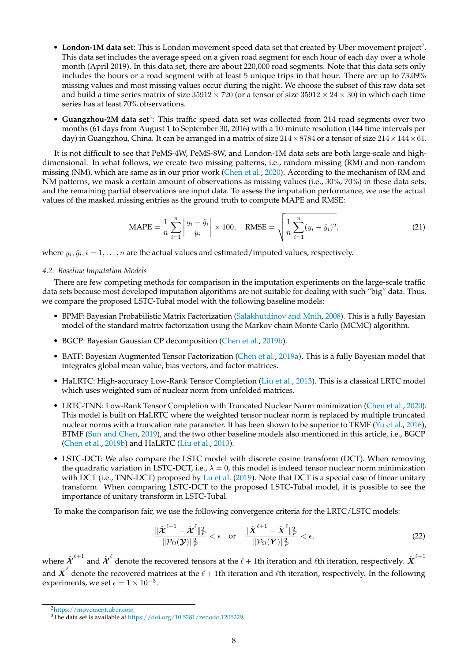- London-1M data set: This is London movement speed data set that created by Uber movement project<sup>[2](#page-7-0)</sup>. This data set includes the average speed on a given road segment for each hour of each day over a whole month (April 2019). In this data set, there are about 220,000 road segments. Note that this data sets only includes the hours or a road segment with at least 5 unique trips in that hour. There are up to 73.09% missing values and most missing values occur during the night. We choose the subset of this raw data set and build a time series matrix of size  $35912 \times 720$  (or a tensor of size  $35912 \times 24 \times 30$ ) in which each time series has at least 70% observations.
- **Guangzhou-2M data set<sup>[3](#page-7-1)</sup>:** This traffic speed data set was collected from 214 road segments over two months (61 days from August 1 to September 30, 2016) with a 10-minute resolution (144 time intervals per day) in Guangzhou, China. It can be arranged in a matrix of size  $214 \times 8784$  or a tensor of size  $214 \times 144 \times 61$ .

It is not difficult to see that PeMS-4W, PeMS-8W, and London-1M data sets are both large-scale and highdimensional. In what follows, we create two missing patterns, i.e., random missing (RM) and non-random missing (NM), which are same as in our prior work [\(Chen et al.,](#page-12-8) [2020\)](#page-12-8). According to the mechanism of RM and NM patterns, we mask a certain amount of observations as missing values (i.e., 30%, 70%) in these data sets, and the remaining partial observations are input data. To assess the imputation performance, we use the actual values of the masked missing entries as the ground truth to compute MAPE and RMSE:

$$
\text{MAPE} = \frac{1}{n} \sum_{i=1}^{n} \left| \frac{y_i - \hat{y}_i}{y_i} \right| \times 100, \quad \text{RMSE} = \sqrt{\frac{1}{n} \sum_{i=1}^{n} (y_i - \hat{y}_i)^2}, \tag{21}
$$

where  $y_i, \hat{y}_i, i = 1, \ldots, n$  are the actual values and estimated/imputed values, respectively.

# *4.2. Baseline Imputation Models*

There are few competing methods for comparison in the imputation experiments on the large-scale traffic data sets because most developed imputation algorithms are not suitable for dealing with such "big" data. Thus, we compare the proposed LSTC-Tubal model with the following baseline models:

- BPMF: Bayesian Probabilistic Matrix Factorization [\(Salakhutdinov and Mnih,](#page-13-5) [2008\)](#page-13-5). This is a fully Bayesian model of the standard matrix factorization using the Markov chain Monte Carlo (MCMC) algorithm.
- BGCP: Bayesian Gaussian CP decomposition [\(Chen et al.,](#page-12-6) [2019b\)](#page-12-6).
- BATF: Bayesian Augmented Tensor Factorization [\(Chen et al.,](#page-12-17) [2019a\)](#page-12-17). This is a fully Bayesian model that integrates global mean value, bias vectors, and factor matrices.
- HaLRTC: High-accuracy Low-Rank Tensor Completion [\(Liu et al.,](#page-12-15) [2013\)](#page-12-15). This is a classical LRTC model which uses weighted sum of nuclear norm from unfolded matrices.
- LRTC-TNN: Low-Rank Tensor Completion with Truncated Nuclear Norm minimization [\(Chen et al.,](#page-12-8) [2020\)](#page-12-8). This model is built on HaLRTC where the weighted tensor nuclear norm is replaced by multiple truncated nuclear norms with a truncation rate parameter. It has been shown to be superior to TRMF [\(Yu et al.,](#page-13-1) [2016\)](#page-13-1), BTMF [\(Sun and Chen,](#page-13-2) [2019\)](#page-13-2), and the two other baseline models also mentioned in this article, i.e., BGCP [\(Chen et al.,](#page-12-6) [2019b\)](#page-12-6) and HaLRTC [\(Liu et al.,](#page-12-15) [2013\)](#page-12-15).
- LSTC-DCT: We also compare the LSTC model with discrete cosine transform (DCT). When removing the quadratic variation in LSTC-DCT, i.e.,  $\lambda = 0$ , this model is indeed tensor nuclear norm minimization with DCT (i.e., TNN-DCT) proposed by [Lu et al.](#page-12-13) [\(2019\)](#page-12-13). Note that DCT is a special case of linear unitary transform. When comparing LSTC-DCT to the proposed LSTC-Tubal model, it is possible to see the importance of unitary transform in LSTC-Tubal.

To make the comparison fair, we use the following convergence criteria for the LRTC/LSTC models:

$$
\frac{\|\hat{\boldsymbol{\mathcal{X}}}^{\ell+1} - \hat{\boldsymbol{\mathcal{X}}}^{\ell}\|_{F}^{2}}{\|\mathcal{P}_{\Omega}(\boldsymbol{\mathcal{Y}})\|_{F}^{2}} < \epsilon \quad \text{or} \quad \frac{\|\hat{\boldsymbol{\mathcal{X}}}^{\ell+1} - \hat{\boldsymbol{\mathcal{X}}}^{\ell}\|_{F}^{2}}{\|\mathcal{P}_{\Omega}(\boldsymbol{\mathcal{Y}})\|_{F}^{2}} < \epsilon,
$$
\n(22)

where  $\hat{\bm{\mathcal{X}}}^{\ell+1}$  and  $\hat{\bm{\mathcal{X}}}^\ell$  denote the recovered tensors at the  $\ell+1$ th iteration and  $\ell$ th iteration, respectively.  $\hat{\bm{X}}^{\ell+1}$ and  ${\hat X}^\ell$  denote the recovered matrices at the  $\ell+1$ th iteration and  $\ell$ th iteration, respectively. In the following experiments, we set  $\epsilon = 1 \times 10^{-3}$ .

<span id="page-7-0"></span><sup>2</sup><https://movement.uber.com>

<span id="page-7-1"></span><sup>3</sup>The data set is available at [https://doi.org/10.5281/zenodo.1205229.](https://doi.org/10.5281/zenodo.1205229)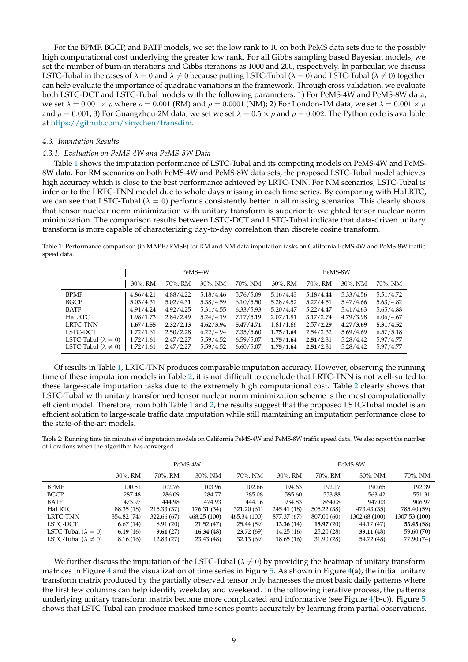For the BPMF, BGCP, and BATF models, we set the low rank to 10 on both PeMS data sets due to the possibly high computational cost underlying the greater low rank. For all Gibbs sampling based Bayesian models, we set the number of burn-in iterations and Gibbs iterations as 1000 and 200, respectively. In particular, we discuss LSTC-Tubal in the cases of  $\lambda = 0$  and  $\lambda \neq 0$  because putting LSTC-Tubal ( $\lambda = 0$ ) and LSTC-Tubal ( $\lambda \neq 0$ ) together can help evaluate the importance of quadratic variations in the framework. Through cross validation, we evaluate both LSTC-DCT and LSTC-Tubal models with the following parameters: 1) For PeMS-4W and PeMS-8W data, we set  $\lambda = 0.001 \times \rho$  where  $\rho = 0.001$  (RM) and  $\rho = 0.0001$  (NM); 2) For London-1M data, we set  $\lambda = 0.001 \times \rho$ and  $\rho = 0.001$ ; 3) For Guangzhou-2M data, we set we set  $\lambda = 0.5 \times \rho$  and  $\rho = 0.002$ . The Python code is available at [https://github.com/xinychen/transdim.](https://github.com/xinychen/transdim)

## *4.3. Imputation Results*

#### *4.3.1. Evaluation on PeMS-4W and PeMS-8W Data*

Table [1](#page-8-0) shows the imputation performance of LSTC-Tubal and its competing models on PeMS-4W and PeMS-8W data. For RM scenarios on both PeMS-4W and PeMS-8W data sets, the proposed LSTC-Tubal model achieves high accuracy which is close to the best performance achieved by LRTC-TNN. For NM scenarios, LSTC-Tubal is inferior to the LRTC-TNN model due to whole days missing in each time series. By comparing with HaLRTC, we can see that LSTC-Tubal ( $\lambda = 0$ ) performs consistently better in all missing scenarios. This clearly shows that tensor nuclear norm minimization with unitary transform is superior to weighted tensor nuclear norm minimization. The comparison results between LSTC-DCT and LSTC-Tubal indicate that data-driven unitary transform is more capable of characterizing day-to-day correlation than discrete cosine transform.

<span id="page-8-0"></span>Table 1: Performance comparison (in MAPE/RMSE) for RM and NM data imputation tasks on California PeMS-4W and PeMS-8W traffic speed data.

|                                 | PeMS-4W   |           |           |           | PeMS-8W   |           |           |           |
|---------------------------------|-----------|-----------|-----------|-----------|-----------|-----------|-----------|-----------|
|                                 | 30%, RM   | 70%, RM   | 30%, NM   | 70%, NM   | 30%, RM   | 70%, RM   | 30%, NM   | 70%, NM   |
| <b>BPMF</b>                     | 4.86/4.21 | 4.88/4.22 | 5.18/4.46 | 5.76/5.09 | 5.16/4.43 | 5.18/4.44 | 5.33/4.56 | 5.51/4.72 |
| <b>BGCP</b>                     | 5.03/4.31 | 5.02/4.31 | 5.38/4.59 | 6.10/5.50 | 5.28/4.52 | 5.27/4.51 | 5.47/4.66 | 5.63/4.82 |
| <b>BATF</b>                     | 4.91/4.24 | 4.92/4.25 | 5.31/4.55 | 6.33/5.93 | 5.20/4.47 | 5.22/4.47 | 5.41/4.63 | 5.65/4.88 |
| HaLRTC                          | 1.98/1.73 | 2.84/2.49 | 5.24/4.19 | 7.17/5.19 | 2.07/1.81 | 3.17/2.74 | 4.79/3.98 | 6.06/4.67 |
| LRTC-TNN                        | 1.67/1.55 | 2.32/2.13 | 4.62/3.94 | 5.47/4.71 | 1.81/1.66 | 2.57/2.29 | 4.27/3.69 | 5.31/4.52 |
| LSTC-DCT                        | 1.72/1.61 | 2.50/2.28 | 6.22/4.94 | 7.35/5.60 | 1.75/1.64 | 2.54/2.32 | 5.69/4.69 | 6.57/5.18 |
| LSTC-Tubal ( $\lambda = 0$ )    | 1.72/1.61 | 2.47/2.27 | 5.59/4.52 | 6.59/5.07 | 1.75/1.64 | 2.51/2.31 | 5.28/4.42 | 5.97/4.77 |
| LSTC-Tubal ( $\lambda \neq 0$ ) | 1.72/1.61 | 2.47/2.27 | 5.59/4.52 | 6.60/5.07 | 1.75/1.64 | 2.51/2.31 | 5.28/4.42 | 5.97/4.77 |

Of results in Table [1,](#page-8-0) LRTC-TNN produces comparable imputation accuracy. However, observing the running time of these imputation models in Table [2,](#page-8-1) it is not difficult to conclude that LRTC-TNN is not well-suited to these large-scale imputation tasks due to the extremely high computational cost. Table [2](#page-8-1) clearly shows that LSTC-Tubal with unitary transformed tensor nuclear norm minimization scheme is the most computationally efficient model. Therefore, from both Table [1](#page-8-0) and [2,](#page-8-1) the results suggest that the proposed LSTC-Tubal model is an efficient solution to large-scale traffic data imputation while still maintaining an imputation performance close to the state-of-the-art models.

<span id="page-8-1"></span>Table 2: Running time (in minutes) of imputation models on California PeMS-4W and PeMS-8W traffic speed data. We also report the number of iterations when the algorithm has converged.

|                                 | PeMS-4W     |             |             |              | PeMS-8W     |             |               |               |
|---------------------------------|-------------|-------------|-------------|--------------|-------------|-------------|---------------|---------------|
|                                 | 30%, RM     | 70%, RM     | 30%. NM     | 70%, NM      | $30\%$ , RM | 70%, RM     | $30\%$ , NM   | 70%, NM       |
| <b>BPMF</b>                     | 100.51      | 102.76      | 103.96      | 102.66       | 194.63      | 192.17      | 190.65        | 192.39        |
| <b>BGCP</b>                     | 287.48      | 286.09      | 284.77      | 285.08       | 585.60      | 553.88      | 563.42        | 551.31        |
| <b>BATF</b>                     | 473.97      | 444.98      | 474.93      | 444.16       | 934.83      | 864.08      | 947.03        | 906.97        |
| HaLRTC                          | 88.35 (18)  | 215.33 (37) | 176.31 (34) | 321.20 (61)  | 245.41 (18) | 505.22 (38) | 473.43 (35)   | 785.40 (59)   |
| <b>LRTC-TNN</b>                 | 354.82 (74) | 322.66 (67) | 468.25(100) | 465.34 (100) | 877.37 (67) | 807.00 (60) | 1302.68 (100) | 1307.53 (100) |
| LSTC-DCT                        | 6.67(14)    | 8.91(20)    | 21.52(47)   | 25.44 (59)   | 13.36(14)   | 18.97(20)   | 44.17 (47)    | 53.45 (58)    |
| LSTC-Tubal ( $\lambda = 0$ )    | 6.19(16)    | 9.61(27)    | 16.34(48)   | 23.72(69)    | 14.25(16)   | 25.20(28)   | 39.11(48)     | 59.60 (70)    |
| LSTC-Tubal ( $\lambda \neq 0$ ) | 8.16(16)    | 12.83 (27)  | 23.43 (48)  | 32.13(69)    | 18.65 (16)  | 31.90(28)   | 54.72 (48)    | 77.90 (74)    |

We further discuss the imputation of the LSTC-Tubal ( $\lambda \neq 0$ ) by providing the heatmap of unitary transform matrices in Figure [4](#page-9-0) and the visualization of time series in Figure [5.](#page-9-1) As shown in Figure  $4(a)$  $4(a)$ , the initial unitary transform matrix produced by the partially observed tensor only harnesses the most basic daily patterns where the first few columns can help identify weekday and weekend. In the following iterative process, the patterns underlying unitary transform matrix become more complicated and informative (see Figure [4\(](#page-9-0)b-c)). Figure  $5$ shows that LSTC-Tubal can produce masked time series points accurately by learning from partial observations.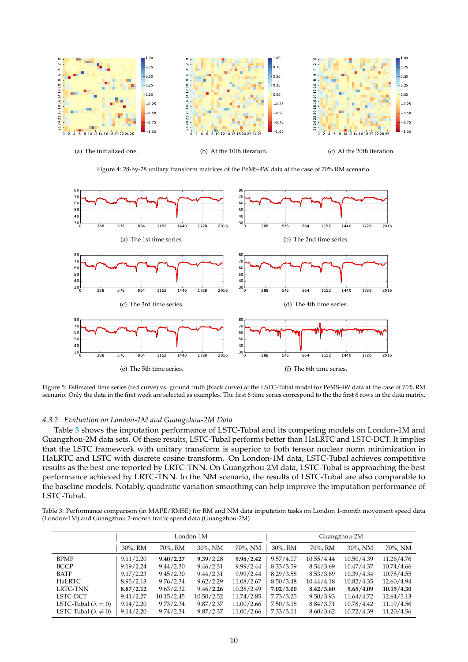<span id="page-9-0"></span>

Figure 4: 28-by-28 unitary transform matrices of the PeMS-4W data at the case of 70% RM scenario.

<span id="page-9-1"></span>

Figure 5: Estimated time series (red curve) vs. ground truth (black curve) of the LSTC-Tubal model for PeMS-4W data at the case of 70% RM scenario. Only the data in the first week are selected as examples. The first 6 time series correspond to the the first 6 rows in the data matrix.

# *4.3.2. Evaluation on London-1M and Guangzhou-2M Data*

Table [3](#page-9-2) shows the imputation performance of LSTC-Tubal and its competing models on London-1M and Guangzhou-2M data sets. Of these results, LSTC-Tubal performs better than HaLRTC and LSTC-DCT. It implies that the LSTC framework with unitary transform is superior to both tensor nuclear norm minimization in HaLRTC and LSTC with discrete cosine transform. On London-1M data, LSTC-Tubal achieves competitive results as the best one reported by LRTC-TNN. On Guangzhou-2M data, LSTC-Tubal is approaching the best performance achieved by LRTC-TNN. In the NM scenario, the results of LSTC-Tubal are also comparable to the baseline models. Notably, quadratic variation smoothing can help improve the imputation performance of LSTC-Tubal.

<span id="page-9-2"></span>Table 3: Performance comparison (in MAPE/RMSE) for RM and NM data imputation tasks on London 1-month movement speed data (London-1M) and Guangzhou 2-month traffic speed data (Guangzhou-2M).

|                                 | London-1M |             |            |            | Guangzhou-2M |             |            |            |
|---------------------------------|-----------|-------------|------------|------------|--------------|-------------|------------|------------|
|                                 | 30%, RM   | 70%, RM     | 30%, NM    | 70%, NM    | 30%, RM      | 70%, RM     | 30%, NM    | 70%, NM    |
| <b>BPMF</b>                     | 9.11/2.20 | 9.40 / 2.27 | 9.39/2.28  | 9.98/2.42  | 9.57/4.07    | 10.55/4.44  | 10.50/4.39 | 11.26/4.76 |
| <b>BGCP</b>                     | 9.19/2.24 | 9.44/2.30   | 9.46/2.31  | 9.99/2.44  | 8.33/3.59    | 8.54/3.69   | 10.47/4.37 | 10.74/4.66 |
| <b>BATF</b>                     | 9.17/2.23 | 9.45/2.30   | 9.44/2.31  | 9.99/2.44  | 8.29/3.58    | 8.53/3.69   | 10.39/4.34 | 10.75/4.55 |
| <b>HaLRTC</b>                   | 8.95/2.13 | 9.76/2.34   | 9.62/2.29  | 11.08/2.67 | 8.50/3.48    | 10.44/4.18  | 10.82/4.35 | 12.60/4.94 |
| LRTC-TNN                        | 8.87/2.12 | 9.63/2.32   | 9.46/2.26  | 10.28/2.49 | 7.02 / 3.00  | 8.42 / 3.60 | 9.65/4.09  | 10.15/4.30 |
| LSTC-DCT                        | 9.41/2.27 | 10.15/2.45  | 10.50/2.52 | 11.74/2.85 | 7.73/3.25    | 9.50/3.93   | 11.64/4.72 | 12.64/5.13 |
| LSTC-Tubal ( $\lambda = 0$ )    | 9.14/2.20 | 9.73/2.34   | 9.87/2.37  | 11.00/2.66 | 7.50/3.18    | 8.84/3.71   | 10.78/4.42 | 11.19/4.56 |
| LSTC-Tubal ( $\lambda \neq 0$ ) | 9.14/2.20 | 9.74/2.34   | 9.87/2.37  | 11.00/2.66 | 7.33/3.11    | 8.60/3.62   | 10.72/4.39 | 11.20/4.56 |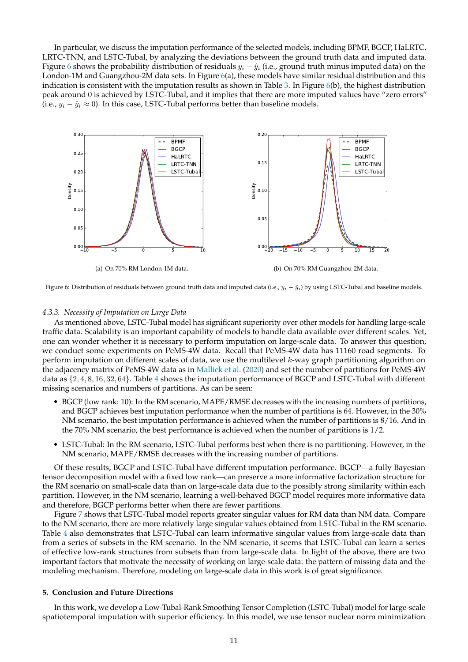In particular, we discuss the imputation performance of the selected models, including BPMF, BGCP, HaLRTC, LRTC-TNN, and LSTC-Tubal, by analyzing the deviations between the ground truth data and imputed data. Figure [6](#page-10-1) shows the probability distribution of residuals  $y_i - \hat{y}_i$  (i.e., ground truth minus imputed data) on the London-1M and Guangzhou-2M data sets. In Figure [6\(](#page-10-1)a), these models have similar residual distribution and this indication is consistent with the imputation results as shown in Table [3.](#page-9-2) In Figure [6\(](#page-10-1)b), the highest distribution peak around 0 is achieved by LSTC-Tubal, and it implies that there are more imputed values have "zero errors" (i.e.,  $y_i - \hat{y}_i \approx 0$ ). In this case, LSTC-Tubal performs better than baseline models.

<span id="page-10-1"></span>

Figure 6: Distribution of residuals between ground truth data and imputed data (i.e.,  $y_i - \hat{y}_i$ ) by using LSTC-Tubal and baseline models.

#### *4.3.3. Necessity of Imputation on Large Data*

As mentioned above, LSTC-Tubal model has significant superiority over other models for handling large-scale traffic data. Scalability is an important capability of models to handle data available over different scales. Yet, one can wonder whether it is necessary to perform imputation on large-scale data. To answer this question, we conduct some experiments on PeMS-4W data. Recall that PeMS-4W data has 11160 road segments. To perform imputation on different scales of data, we use the multilevel k-way graph partitioning algorithm on the adjacency matrix of PeMS-4W data as in [Mallick et al.](#page-12-18) [\(2020\)](#page-12-18) and set the number of partitions for PeMS-4W data as {2, 4, 8, 16, 32, 64}. Table [4](#page-11-0) shows the imputation performance of BGCP and LSTC-Tubal with different missing scenarios and numbers of partitions. As can be seen:

- BGCP (low rank: 10): In the RM scenario, MAPE/RMSE decreases with the increasing numbers of partitions, and BGCP achieves best imputation performance when the number of partitions is 64. However, in the 30% NM scenario, the best imputation performance is achieved when the number of partitions is 8/16. And in the 70% NM scenario, the best performance is achieved when the number of partitions is  $1/2$ .
- LSTC-Tubal: In the RM scenario, LSTC-Tubal performs best when there is no partitioning. However, in the NM scenario, MAPE/RMSE decreases with the increasing number of partitions.

Of these results, BGCP and LSTC-Tubal have different imputation performance. BGCP—a fully Bayesian tensor decomposition model with a fixed low rank—can preserve a more informative factorization structure for the RM scenario on small-scale data than on large-scale data due to the possibly strong similarity within each partition. However, in the NM scenario, learning a well-behaved BGCP model requires more informative data and therefore, BGCP performs better when there are fewer partitions.

Figure [7](#page-11-1) shows that LSTC-Tubal model reports greater singular values for RM data than NM data. Compare to the NM scenario, there are more relatively large singular values obtained from LSTC-Tubal in the RM scenario. Table [4](#page-11-0) also demonstrates that LSTC-Tubal can learn informative singular values from large-scale data than from a series of subsets in the RM scenario. In the NM scenario, it seems that LSTC-Tubal can learn a series of effective low-rank structures from subsets than from large-scale data. In light of the above, there are two important factors that motivate the necessity of working on large-scale data: the pattern of missing data and the modeling mechanism. Therefore, modeling on large-scale data in this work is of great significance.

# <span id="page-10-0"></span>**5. Conclusion and Future Directions**

In this work, we develop a Low-Tubal-Rank Smoothing Tensor Completion (LSTC-Tubal) model for large-scale spatiotemporal imputation with superior efficiency. In this model, we use tensor nuclear norm minimization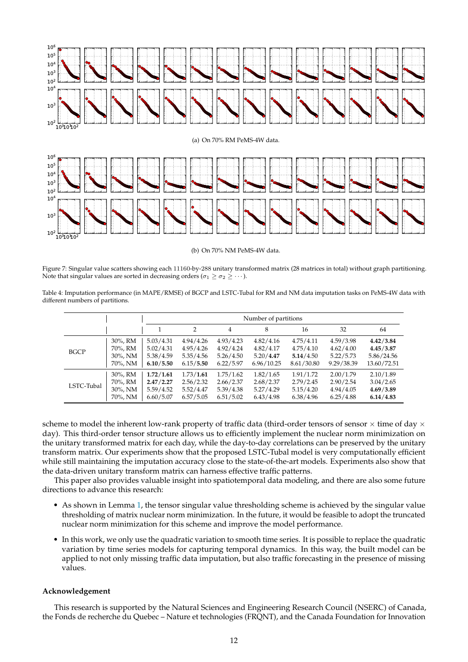<span id="page-11-1"></span>

(b) On 70% NM PeMS-4W data.

Figure 7: Singular value scatters showing each 11160-by-288 unitary transformed matrix (28 matrices in total) without graph partitioning. Note that singular values are sorted in decreasing orders ( $\sigma_1 \geq \sigma_2 \geq \cdots$  ).

<span id="page-11-0"></span>Table 4: Imputation performance (in MAPE/RMSE) of BGCP and LSTC-Tubal for RM and NM data imputation tasks on PeMS-4W data with different numbers of partitions.

|             |         | Number of partitions |               |           |            |            |            |             |  |
|-------------|---------|----------------------|---------------|-----------|------------|------------|------------|-------------|--|
|             |         |                      | $\mathcal{P}$ | 4         | 8          | 16         | 32         | 64          |  |
| <b>BGCP</b> | 30%, RM | 5.03/4.31            | 4.94/4.26     | 4.93/4.23 | 4.82/4.16  | 4.75/4.11  | 4.59/3.98  | 4.42/3.84   |  |
|             | 70%, RM | 5.02/4.31            | 4.95/4.26     | 4.92/4.24 | 4.82/4.17  | 4.75/4.10  | 4.62/4.00  | 4.45/3.87   |  |
|             | 30%, NM | 5.38/4.59            | 5.35/4.56     | 5.26/4.50 | 5.20/4.47  | 5.14/4.50  | 5.22/5.73  | 5.86/24.56  |  |
|             | 70%, NM | 6.10/5.50            | 6.15/5.50     | 6.22/5.97 | 6.96/10.25 | 8.61/30.80 | 9.29/38.39 | 13.60/72.51 |  |
| LSTC-Tubal  | 30%, RM | 1.72/1.61            | 1.73/1.61     | 1.75/1.62 | 1.82/1.65  | 1.91/1.72  | 2.00/1.79  | 2.10/1.89   |  |
|             | 70%, RM | 2.47/2.27            | 2.56/2.32     | 2.66/2.37 | 2.68/2.37  | 2.79/2.45  | 2.90/2.54  | 3.04/2.65   |  |
|             | 30%, NM | 5.59/4.52            | 5.52/4.47     | 5.39/4.38 | 5.27/4.29  | 5.15/4.20  | 4.94/4.05  | 4.69/3.89   |  |
|             | 70%, NM | 6.60/5.07            | 6.57/5.05     | 6.51/5.02 | 6.43/4.98  | 6.38/4.96  | 6.25/4.88  | 6.14/4.83   |  |

scheme to model the inherent low-rank property of traffic data (third-order tensors of sensor  $\times$  time of day  $\times$ day). This third-order tensor structure allows us to efficiently implement the nuclear norm minimization on the unitary transformed matrix for each day, while the day-to-day correlations can be preserved by the unitary transform matrix. Our experiments show that the proposed LSTC-Tubal model is very computationally efficient while still maintaining the imputation accuracy close to the state-of-the-art models. Experiments also show that the data-driven unitary transform matrix can harness effective traffic patterns.

This paper also provides valuable insight into spatiotemporal data modeling, and there are also some future directions to advance this research:

- As shown in Lemma [1,](#page-4-2) the tensor singular value thresholding scheme is achieved by the singular value thresholding of matrix nuclear norm minimization. In the future, it would be feasible to adopt the truncated nuclear norm minimization for this scheme and improve the model performance.
- In this work, we only use the quadratic variation to smooth time series. It is possible to replace the quadratic variation by time series models for capturing temporal dynamics. In this way, the built model can be applied to not only missing traffic data imputation, but also traffic forecasting in the presence of missing values.

# **Acknowledgement**

This research is supported by the Natural Sciences and Engineering Research Council (NSERC) of Canada, the Fonds de recherche du Quebec – Nature et technologies (FRQNT), and the Canada Foundation for Innovation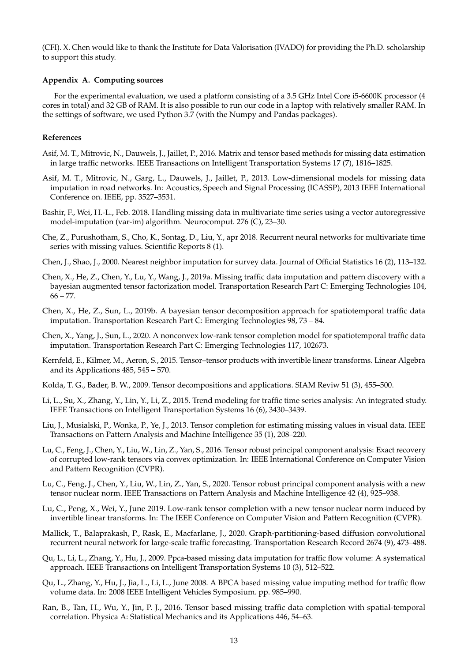(CFI). X. Chen would like to thank the Institute for Data Valorisation (IVADO) for providing the Ph.D. scholarship to support this study.

# **Appendix A. Computing sources**

For the experimental evaluation, we used a platform consisting of a 3.5 GHz Intel Core i5-6600K processor (4 cores in total) and 32 GB of RAM. It is also possible to run our code in a laptop with relatively smaller RAM. In the settings of software, we used Python 3.7 (with the Numpy and Pandas packages).

# **References**

- <span id="page-12-3"></span>Asif, M. T., Mitrovic, N., Dauwels, J., Jaillet, P., 2016. Matrix and tensor based methods for missing data estimation in large traffic networks. IEEE Transactions on Intelligent Transportation Systems 17 (7), 1816–1825.
- <span id="page-12-2"></span>Asif, M. T., Mitrovic, N., Garg, L., Dauwels, J., Jaillet, P., 2013. Low-dimensional models for missing data imputation in road networks. In: Acoustics, Speech and Signal Processing (ICASSP), 2013 IEEE International Conference on. IEEE, pp. 3527–3531.
- <span id="page-12-1"></span>Bashir, F., Wei, H.-L., Feb. 2018. Handling missing data in multivariate time series using a vector autoregressive model-imputation (var-im) algorithm. Neurocomput. 276 (C), 23–30.
- <span id="page-12-10"></span>Che, Z., Purushotham, S., Cho, K., Sontag, D., Liu, Y., apr 2018. Recurrent neural networks for multivariate time series with missing values. Scientific Reports 8 (1).
- <span id="page-12-0"></span>Chen, J., Shao, J., 2000. Nearest neighbor imputation for survey data. Journal of Official Statistics 16 (2), 113–132.
- <span id="page-12-17"></span>Chen, X., He, Z., Chen, Y., Lu, Y., Wang, J., 2019a. Missing traffic data imputation and pattern discovery with a bayesian augmented tensor factorization model. Transportation Research Part C: Emerging Technologies 104,  $66 - 77.$
- <span id="page-12-6"></span>Chen, X., He, Z., Sun, L., 2019b. A bayesian tensor decomposition approach for spatiotemporal traffic data imputation. Transportation Research Part C: Emerging Technologies 98, 73 – 84.
- <span id="page-12-8"></span>Chen, X., Yang, J., Sun, L., 2020. A nonconvex low-rank tensor completion model for spatiotemporal traffic data imputation. Transportation Research Part C: Emerging Technologies 117, 102673.
- <span id="page-12-11"></span>Kernfeld, E., Kilmer, M., Aeron, S., 2015. Tensor–tensor products with invertible linear transforms. Linear Algebra and its Applications 485, 545 – 570.
- <span id="page-12-16"></span>Kolda, T. G., Bader, B. W., 2009. Tensor decompositions and applications. SIAM Reviw 51 (3), 455–500.
- <span id="page-12-9"></span>Li, L., Su, X., Zhang, Y., Lin, Y., Li, Z., 2015. Trend modeling for traffic time series analysis: An integrated study. IEEE Transactions on Intelligent Transportation Systems 16 (6), 3430–3439.
- <span id="page-12-15"></span>Liu, J., Musialski, P., Wonka, P., Ye, J., 2013. Tensor completion for estimating missing values in visual data. IEEE Transactions on Pattern Analysis and Machine Intelligence 35 (1), 208–220.
- <span id="page-12-12"></span>Lu, C., Feng, J., Chen, Y., Liu, W., Lin, Z., Yan, S., 2016. Tensor robust principal component analysis: Exact recovery of corrupted low-rank tensors via convex optimization. In: IEEE International Conference on Computer Vision and Pattern Recognition (CVPR).
- <span id="page-12-14"></span>Lu, C., Feng, J., Chen, Y., Liu, W., Lin, Z., Yan, S., 2020. Tensor robust principal component analysis with a new tensor nuclear norm. IEEE Transactions on Pattern Analysis and Machine Intelligence 42 (4), 925–938.
- <span id="page-12-13"></span>Lu, C., Peng, X., Wei, Y., June 2019. Low-rank tensor completion with a new tensor nuclear norm induced by invertible linear transforms. In: The IEEE Conference on Computer Vision and Pattern Recognition (CVPR).
- <span id="page-12-18"></span>Mallick, T., Balaprakash, P., Rask, E., Macfarlane, J., 2020. Graph-partitioning-based diffusion convolutional recurrent neural network for large-scale traffic forecasting. Transportation Research Record 2674 (9), 473–488.
- <span id="page-12-5"></span>Qu, L., Li, L., Zhang, Y., Hu, J., 2009. Ppca-based missing data imputation for traffic flow volume: A systematical approach. IEEE Transactions on Intelligent Transportation Systems 10 (3), 512–522.
- <span id="page-12-4"></span>Qu, L., Zhang, Y., Hu, J., Jia, L., Li, L., June 2008. A BPCA based missing value imputing method for traffic flow volume data. In: 2008 IEEE Intelligent Vehicles Symposium. pp. 985–990.
- <span id="page-12-7"></span>Ran, B., Tan, H., Wu, Y., Jin, P. J., 2016. Tensor based missing traffic data completion with spatial-temporal correlation. Physica A: Statistical Mechanics and its Applications 446, 54–63.